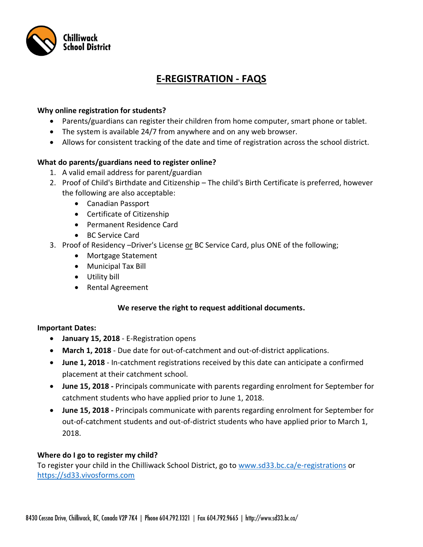

# **E-REGISTRATION - FAQS**

## **Why online registration for students?**

- Parents/guardians can register their children from home computer, smart phone or tablet.
- The system is available 24/7 from anywhere and on any web browser.
- Allows for consistent tracking of the date and time of registration across the school district.

## **What do parents/guardians need to register online?**

- 1. A valid email address for parent/guardian
- 2. Proof of Child's Birthdate and Citizenship The child's Birth Certificate is preferred, however the following are also acceptable:
	- Canadian Passport
	- Certificate of Citizenship
	- Permanent Residence Card
	- BC Service Card
- 3. Proof of Residency –Driver's License or BC Service Card, plus ONE of the following;
	- Mortgage Statement
	- Municipal Tax Bill
	- Utility bill
	- Rental Agreement

#### **We reserve the right to request additional documents.**

#### **Important Dates:**

- **January 15, 2018** E-Registration opens
- **March 1, 2018** Due date for out-of-catchment and out-of-district applications.
- **June 1, 2018** In-catchment registrations received by this date can anticipate a confirmed placement at their catchment school.
- **June 15, 2018 -** Principals communicate with parents regarding enrolment for September for catchment students who have applied prior to June 1, 2018.
- **June 15, 2018 -** Principals communicate with parents regarding enrolment for September for out-of-catchment students and out-of-district students who have applied prior to March 1, 2018.

#### **Where do I go to register my child?**

To register your child in the Chilliwack School District, go to [www.sd33.bc.ca/e-registrations](http://www.sd33.bc.ca/e-registrations) or [https://sd33.vivosforms.com](https://sd33.vivosforms.com/)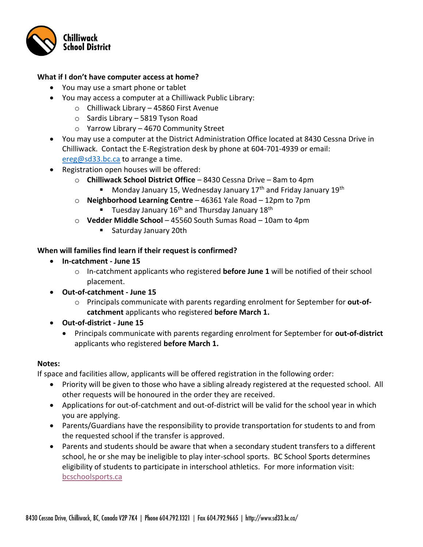

## **What if I don't have computer access at home?**

- You may use a smart phone or tablet
- You may access a computer at a Chilliwack Public Library:
	- o Chilliwack Library 45860 First Avenue
	- o Sardis Library 5819 Tyson Road
	- o Yarrow Library 4670 Community Street
- You may use a computer at the District Administration Office located at 8430 Cessna Drive in Chilliwack. Contact the E-Registration desk by phone at 604-701-4939 or email: [ereg@sd33.bc.ca](mailto:ereg@sd33.bc.ca) to arrange a time.
- Registration open houses will be offered:
	- o **Chilliwack School District Office** 8430 Cessna Drive 8am to 4pm
		- Monday January 15, Wednesday January 17<sup>th</sup> and Friday January 19<sup>th</sup>
	- o **Neighborhood Learning Centre** 46361 Yale Road 12pm to 7pm
		- **Tuesday January 16<sup>th</sup> and Thursday January 18<sup>th</sup>**
	- o **Vedder Middle School** 45560 South Sumas Road 10am to 4pm
		- **Saturday January 20th**

# **When will families find learn if their request is confirmed?**

- **In-catchment - June 15** 
	- o In-catchment applicants who registered **before June 1** will be notified of their school placement.
- **Out-of-catchment - June 15** 
	- o Principals communicate with parents regarding enrolment for September for **out-ofcatchment** applicants who registered **before March 1.**
- **Out-of-district - June 15** 
	- Principals communicate with parents regarding enrolment for September for **out-of-district** applicants who registered **before March 1.**

#### **Notes:**

If space and facilities allow, applicants will be offered registration in the following order:

- Priority will be given to those who have a sibling already registered at the requested school. All other requests will be honoured in the order they are received.
- Applications for out-of-catchment and out-of-district will be valid for the school year in which you are applying.
- Parents/Guardians have the responsibility to provide transportation for students to and from the requested school if the transfer is approved.
- Parents and students should be aware that when a secondary student transfers to a different school, he or she may be ineligible to play inter-school sports. BC School Sports determines eligibility of students to participate in interschool athletics. For more information visit: [bcschoolsports.ca](http://www.bcschoolsports.ca/member-services/student-athlete-eligibility)